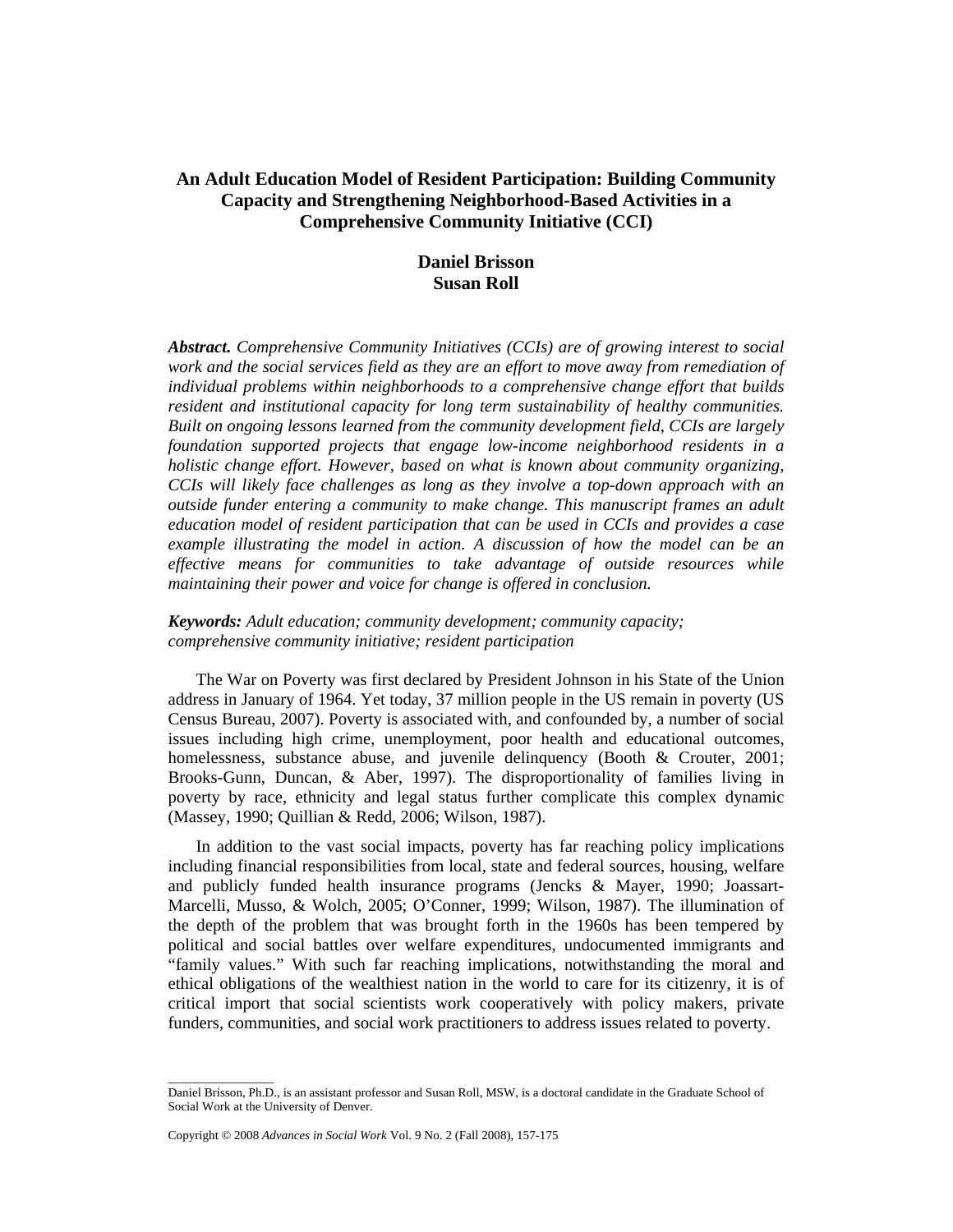# **An Adult Education Model of Resident Participation: Building Community Capacity and Strengthening Neighborhood-Based Activities in a Comprehensive Community Initiative (CCI)**

# **Daniel Brisson Susan Roll**

*Abstract. Comprehensive Community Initiatives (CCIs) are of growing interest to social work and the social services field as they are an effort to move away from remediation of individual problems within neighborhoods to a comprehensive change effort that builds resident and institutional capacity for long term sustainability of healthy communities. Built on ongoing lessons learned from the community development field, CCIs are largely foundation supported projects that engage low-income neighborhood residents in a holistic change effort. However, based on what is known about community organizing, CCIs will likely face challenges as long as they involve a top-down approach with an outside funder entering a community to make change. This manuscript frames an adult education model of resident participation that can be used in CCIs and provides a case example illustrating the model in action. A discussion of how the model can be an effective means for communities to take advantage of outside resources while maintaining their power and voice for change is offered in conclusion.* 

# *Keywords: Adult education; community development; community capacity; comprehensive community initiative; resident participation*

The War on Poverty was first declared by President Johnson in his State of the Union address in January of 1964. Yet today, 37 million people in the US remain in poverty (US Census Bureau, 2007). Poverty is associated with, and confounded by, a number of social issues including high crime, unemployment, poor health and educational outcomes, homelessness, substance abuse, and juvenile delinquency (Booth & Crouter, 2001; Brooks-Gunn, Duncan, & Aber, 1997). The disproportionality of families living in poverty by race, ethnicity and legal status further complicate this complex dynamic (Massey, 1990; Quillian & Redd, 2006; Wilson, 1987).

In addition to the vast social impacts, poverty has far reaching policy implications including financial responsibilities from local, state and federal sources, housing, welfare and publicly funded health insurance programs (Jencks & Mayer, 1990; Joassart-Marcelli, Musso, & Wolch, 2005; O'Conner, 1999; Wilson, 1987). The illumination of the depth of the problem that was brought forth in the 1960s has been tempered by political and social battles over welfare expenditures, undocumented immigrants and "family values." With such far reaching implications, notwithstanding the moral and ethical obligations of the wealthiest nation in the world to care for its citizenry, it is of critical import that social scientists work cooperatively with policy makers, private funders, communities, and social work practitioners to address issues related to poverty.

\_\_\_\_\_\_\_\_\_\_\_\_\_\_\_\_\_

Daniel Brisson, Ph.D., is an assistant professor and Susan Roll, MSW, is a doctoral candidate in the Graduate School of Social Work at the University of Denver.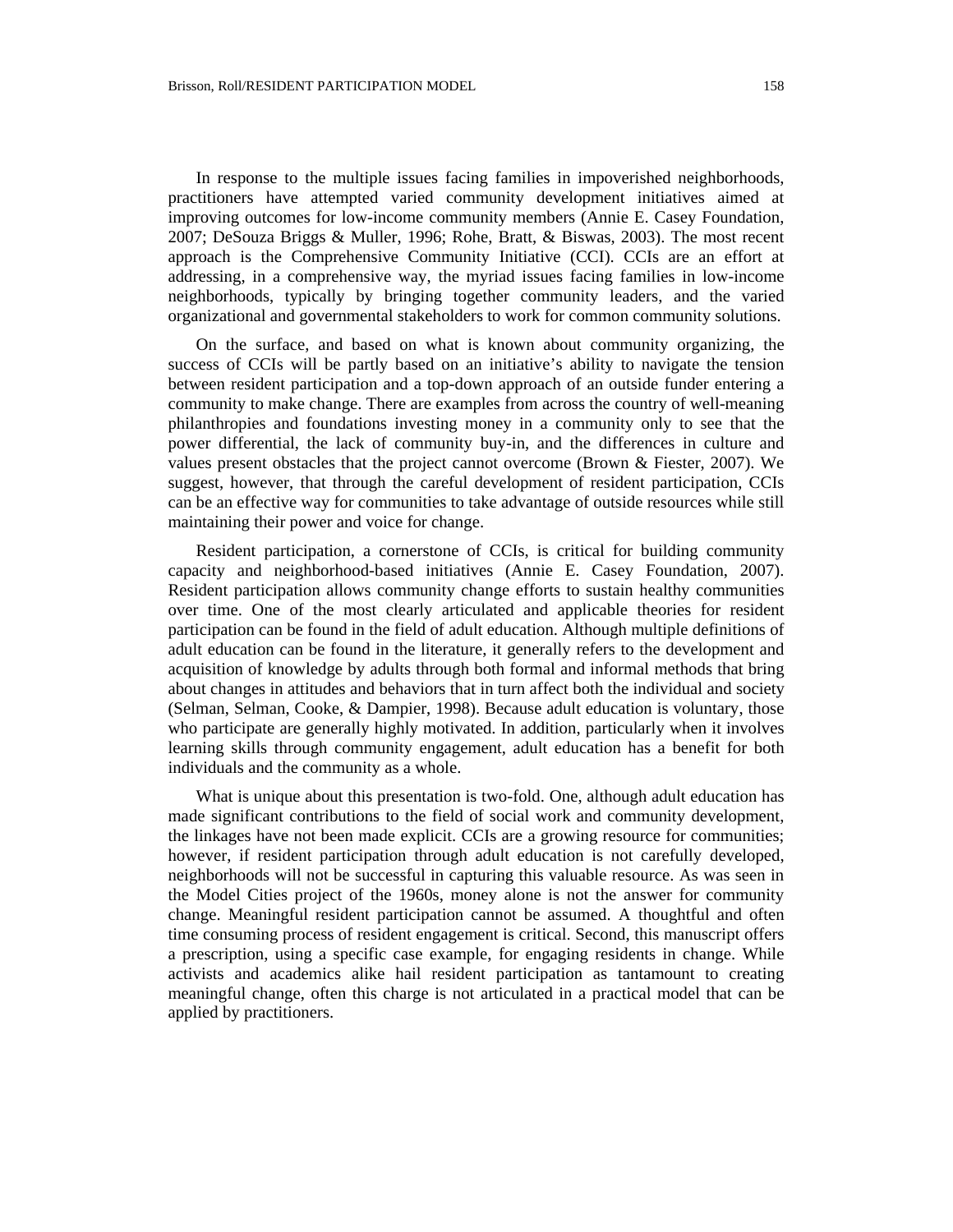In response to the multiple issues facing families in impoverished neighborhoods, practitioners have attempted varied community development initiatives aimed at improving outcomes for low-income community members (Annie E. Casey Foundation, 2007; DeSouza Briggs & Muller, 1996; Rohe, Bratt, & Biswas, 2003). The most recent approach is the Comprehensive Community Initiative (CCI). CCIs are an effort at addressing, in a comprehensive way, the myriad issues facing families in low-income neighborhoods, typically by bringing together community leaders, and the varied organizational and governmental stakeholders to work for common community solutions.

On the surface, and based on what is known about community organizing, the success of CCIs will be partly based on an initiative's ability to navigate the tension between resident participation and a top-down approach of an outside funder entering a community to make change. There are examples from across the country of well-meaning philanthropies and foundations investing money in a community only to see that the power differential, the lack of community buy-in, and the differences in culture and values present obstacles that the project cannot overcome (Brown & Fiester, 2007). We suggest, however, that through the careful development of resident participation, CCIs can be an effective way for communities to take advantage of outside resources while still maintaining their power and voice for change.

Resident participation, a cornerstone of CCIs, is critical for building community capacity and neighborhood-based initiatives (Annie E. Casey Foundation, 2007). Resident participation allows community change efforts to sustain healthy communities over time. One of the most clearly articulated and applicable theories for resident participation can be found in the field of adult education. Although multiple definitions of adult education can be found in the literature, it generally refers to the development and acquisition of knowledge by adults through both formal and informal methods that bring about changes in attitudes and behaviors that in turn affect both the individual and society (Selman, Selman, Cooke, & Dampier, 1998). Because adult education is voluntary, those who participate are generally highly motivated. In addition, particularly when it involves learning skills through community engagement, adult education has a benefit for both individuals and the community as a whole.

What is unique about this presentation is two-fold. One, although adult education has made significant contributions to the field of social work and community development, the linkages have not been made explicit. CCIs are a growing resource for communities; however, if resident participation through adult education is not carefully developed, neighborhoods will not be successful in capturing this valuable resource. As was seen in the Model Cities project of the 1960s, money alone is not the answer for community change. Meaningful resident participation cannot be assumed. A thoughtful and often time consuming process of resident engagement is critical. Second, this manuscript offers a prescription, using a specific case example, for engaging residents in change. While activists and academics alike hail resident participation as tantamount to creating meaningful change, often this charge is not articulated in a practical model that can be applied by practitioners.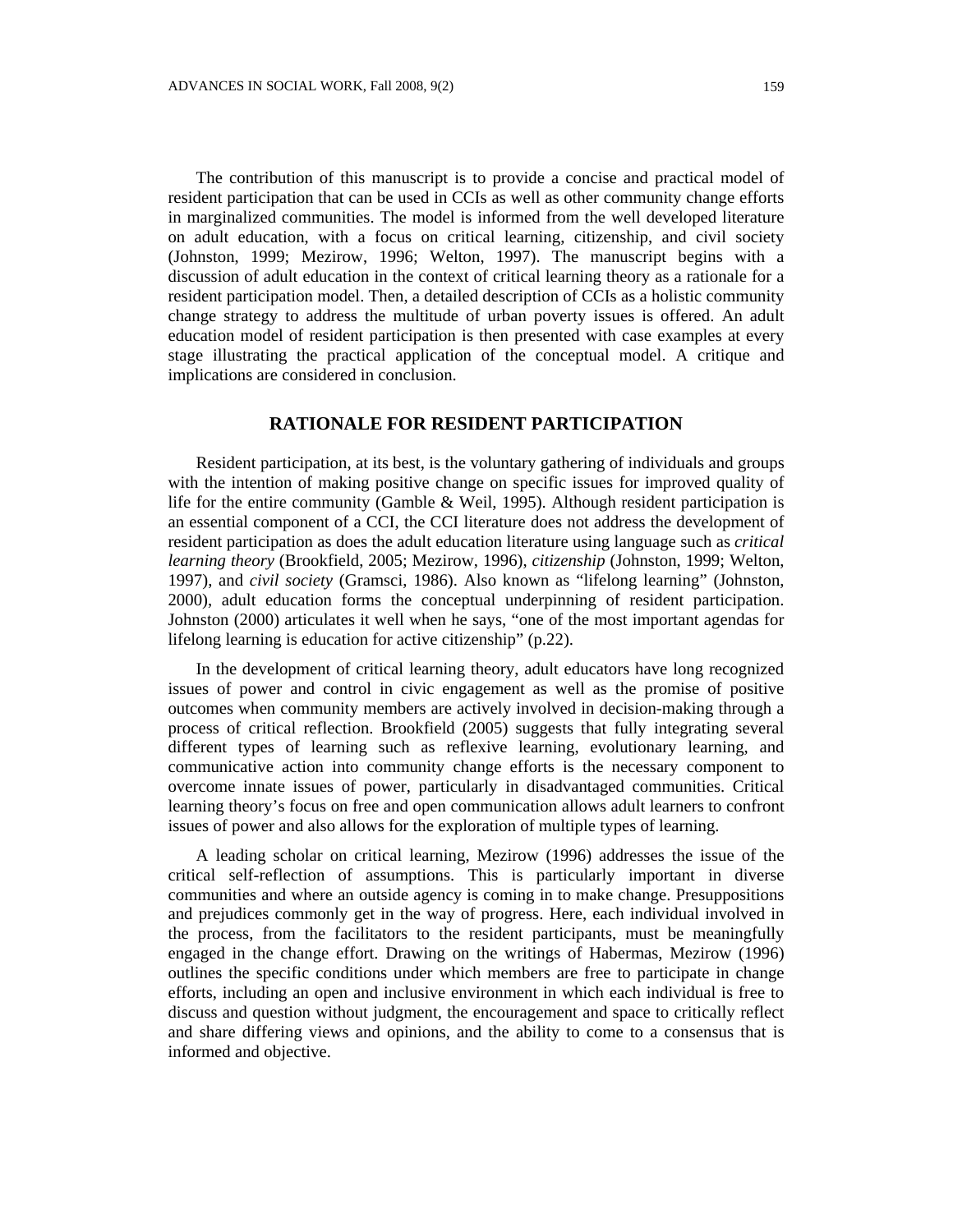The contribution of this manuscript is to provide a concise and practical model of resident participation that can be used in CCIs as well as other community change efforts in marginalized communities. The model is informed from the well developed literature on adult education, with a focus on critical learning, citizenship, and civil society (Johnston, 1999; Mezirow, 1996; Welton, 1997). The manuscript begins with a discussion of adult education in the context of critical learning theory as a rationale for a resident participation model. Then, a detailed description of CCIs as a holistic community change strategy to address the multitude of urban poverty issues is offered. An adult education model of resident participation is then presented with case examples at every stage illustrating the practical application of the conceptual model. A critique and implications are considered in conclusion.

# **RATIONALE FOR RESIDENT PARTICIPATION**

Resident participation, at its best, is the voluntary gathering of individuals and groups with the intention of making positive change on specific issues for improved quality of life for the entire community (Gamble & Weil, 1995). Although resident participation is an essential component of a CCI, the CCI literature does not address the development of resident participation as does the adult education literature using language such as *critical learning theory* (Brookfield, 2005; Mezirow, 1996), *citizenship* (Johnston, 1999; Welton, 1997), and *civil society* (Gramsci, 1986). Also known as "lifelong learning" (Johnston, 2000), adult education forms the conceptual underpinning of resident participation. Johnston (2000) articulates it well when he says, "one of the most important agendas for lifelong learning is education for active citizenship" (p.22).

In the development of critical learning theory, adult educators have long recognized issues of power and control in civic engagement as well as the promise of positive outcomes when community members are actively involved in decision-making through a process of critical reflection. Brookfield (2005) suggests that fully integrating several different types of learning such as reflexive learning, evolutionary learning, and communicative action into community change efforts is the necessary component to overcome innate issues of power, particularly in disadvantaged communities. Critical learning theory's focus on free and open communication allows adult learners to confront issues of power and also allows for the exploration of multiple types of learning.

A leading scholar on critical learning, Mezirow (1996) addresses the issue of the critical self-reflection of assumptions. This is particularly important in diverse communities and where an outside agency is coming in to make change. Presuppositions and prejudices commonly get in the way of progress. Here, each individual involved in the process, from the facilitators to the resident participants, must be meaningfully engaged in the change effort. Drawing on the writings of Habermas, Mezirow (1996) outlines the specific conditions under which members are free to participate in change efforts, including an open and inclusive environment in which each individual is free to discuss and question without judgment, the encouragement and space to critically reflect and share differing views and opinions, and the ability to come to a consensus that is informed and objective.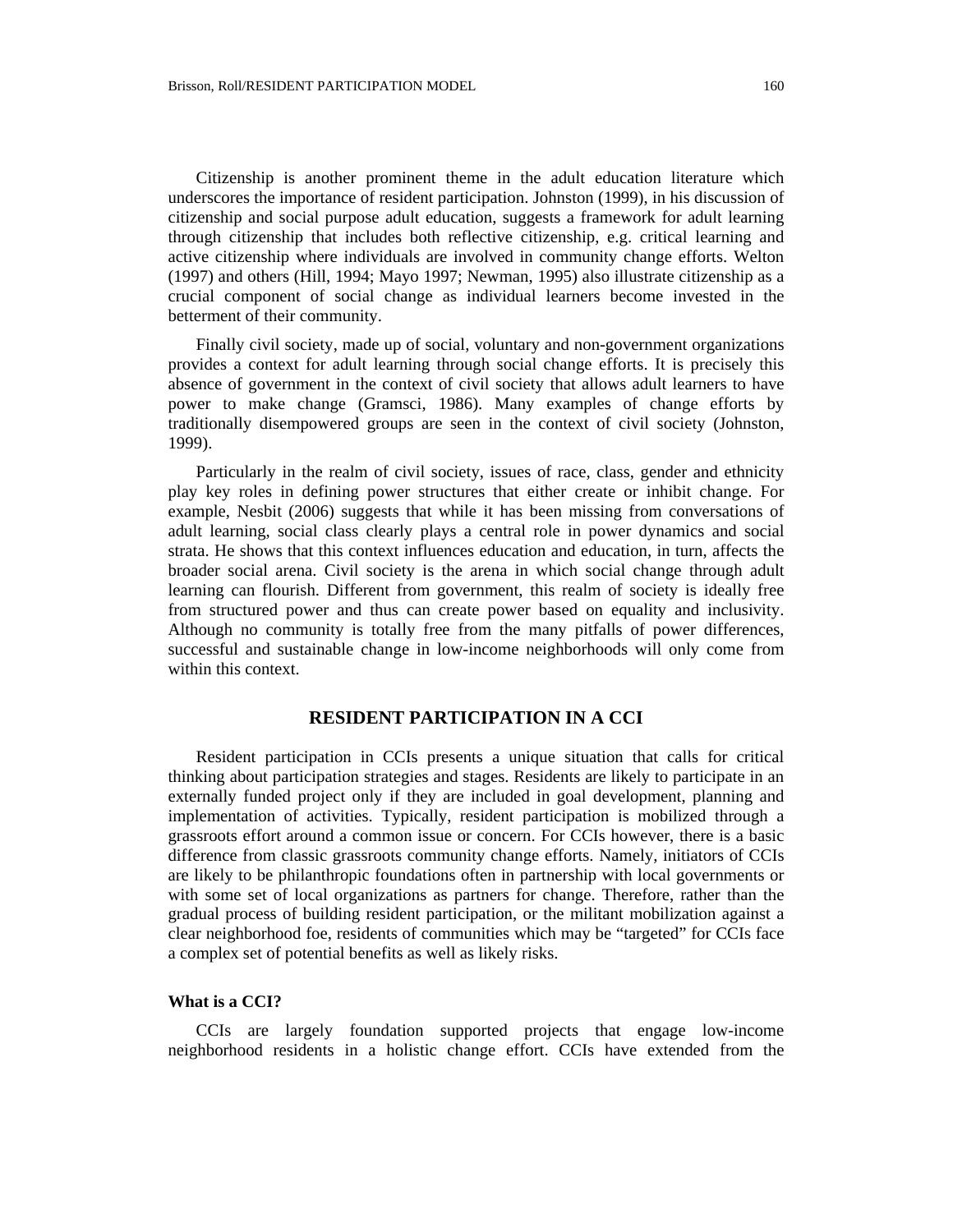Citizenship is another prominent theme in the adult education literature which underscores the importance of resident participation. Johnston (1999), in his discussion of citizenship and social purpose adult education, suggests a framework for adult learning through citizenship that includes both reflective citizenship, e.g. critical learning and active citizenship where individuals are involved in community change efforts. Welton (1997) and others (Hill, 1994; Mayo 1997; Newman, 1995) also illustrate citizenship as a crucial component of social change as individual learners become invested in the betterment of their community.

Finally civil society, made up of social, voluntary and non-government organizations provides a context for adult learning through social change efforts. It is precisely this absence of government in the context of civil society that allows adult learners to have power to make change (Gramsci, 1986). Many examples of change efforts by traditionally disempowered groups are seen in the context of civil society (Johnston, 1999).

Particularly in the realm of civil society, issues of race, class, gender and ethnicity play key roles in defining power structures that either create or inhibit change. For example, Nesbit (2006) suggests that while it has been missing from conversations of adult learning, social class clearly plays a central role in power dynamics and social strata. He shows that this context influences education and education, in turn, affects the broader social arena. Civil society is the arena in which social change through adult learning can flourish. Different from government, this realm of society is ideally free from structured power and thus can create power based on equality and inclusivity. Although no community is totally free from the many pitfalls of power differences, successful and sustainable change in low-income neighborhoods will only come from within this context.

# **RESIDENT PARTICIPATION IN A CCI**

Resident participation in CCIs presents a unique situation that calls for critical thinking about participation strategies and stages. Residents are likely to participate in an externally funded project only if they are included in goal development, planning and implementation of activities. Typically, resident participation is mobilized through a grassroots effort around a common issue or concern. For CCIs however, there is a basic difference from classic grassroots community change efforts. Namely, initiators of CCIs are likely to be philanthropic foundations often in partnership with local governments or with some set of local organizations as partners for change. Therefore, rather than the gradual process of building resident participation, or the militant mobilization against a clear neighborhood foe, residents of communities which may be "targeted" for CCIs face a complex set of potential benefits as well as likely risks.

## **What is a CCI?**

CCIs are largely foundation supported projects that engage low-income neighborhood residents in a holistic change effort. CCIs have extended from the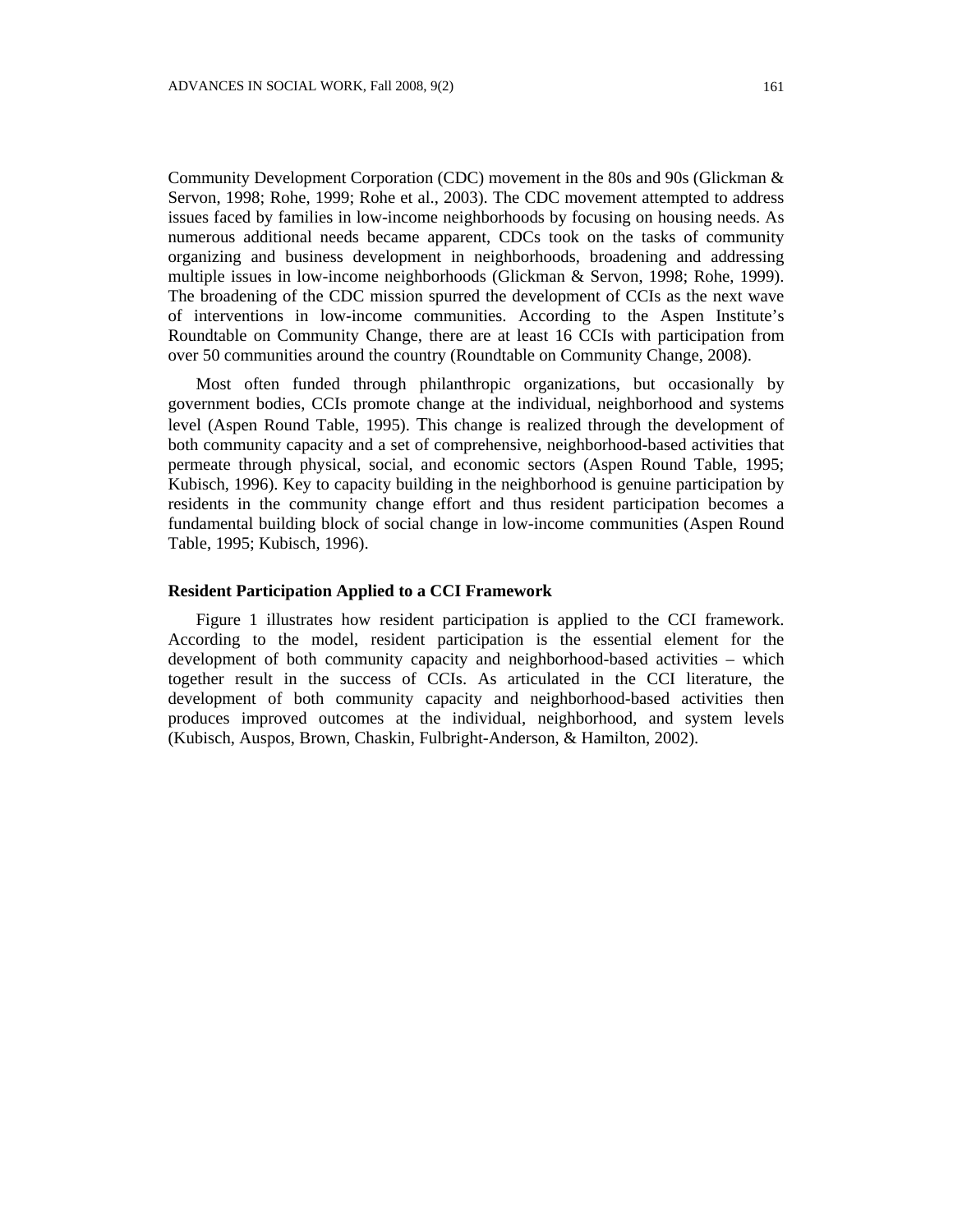Community Development Corporation (CDC) movement in the 80s and 90s (Glickman & Servon, 1998; Rohe, 1999; Rohe et al., 2003). The CDC movement attempted to address issues faced by families in low-income neighborhoods by focusing on housing needs. As numerous additional needs became apparent, CDCs took on the tasks of community organizing and business development in neighborhoods, broadening and addressing multiple issues in low-income neighborhoods (Glickman & Servon, 1998; Rohe, 1999). The broadening of the CDC mission spurred the development of CCIs as the next wave of interventions in low-income communities. According to the Aspen Institute's Roundtable on Community Change, there are at least 16 CCIs with participation from over 50 communities around the country (Roundtable on Community Change, 2008).

Most often funded through philanthropic organizations, but occasionally by government bodies, CCIs promote change at the individual, neighborhood and systems level (Aspen Round Table, 1995). This change is realized through the development of both community capacity and a set of comprehensive, neighborhood-based activities that permeate through physical, social, and economic sectors (Aspen Round Table, 1995; Kubisch, 1996). Key to capacity building in the neighborhood is genuine participation by residents in the community change effort and thus resident participation becomes a fundamental building block of social change in low-income communities (Aspen Round Table, 1995; Kubisch, 1996).

### **Resident Participation Applied to a CCI Framework**

Figure 1 illustrates how resident participation is applied to the CCI framework. According to the model, resident participation is the essential element for the development of both community capacity and neighborhood-based activities – which together result in the success of CCIs. As articulated in the CCI literature, the development of both community capacity and neighborhood-based activities then produces improved outcomes at the individual, neighborhood, and system levels (Kubisch, Auspos, Brown, Chaskin, Fulbright-Anderson, & Hamilton, 2002).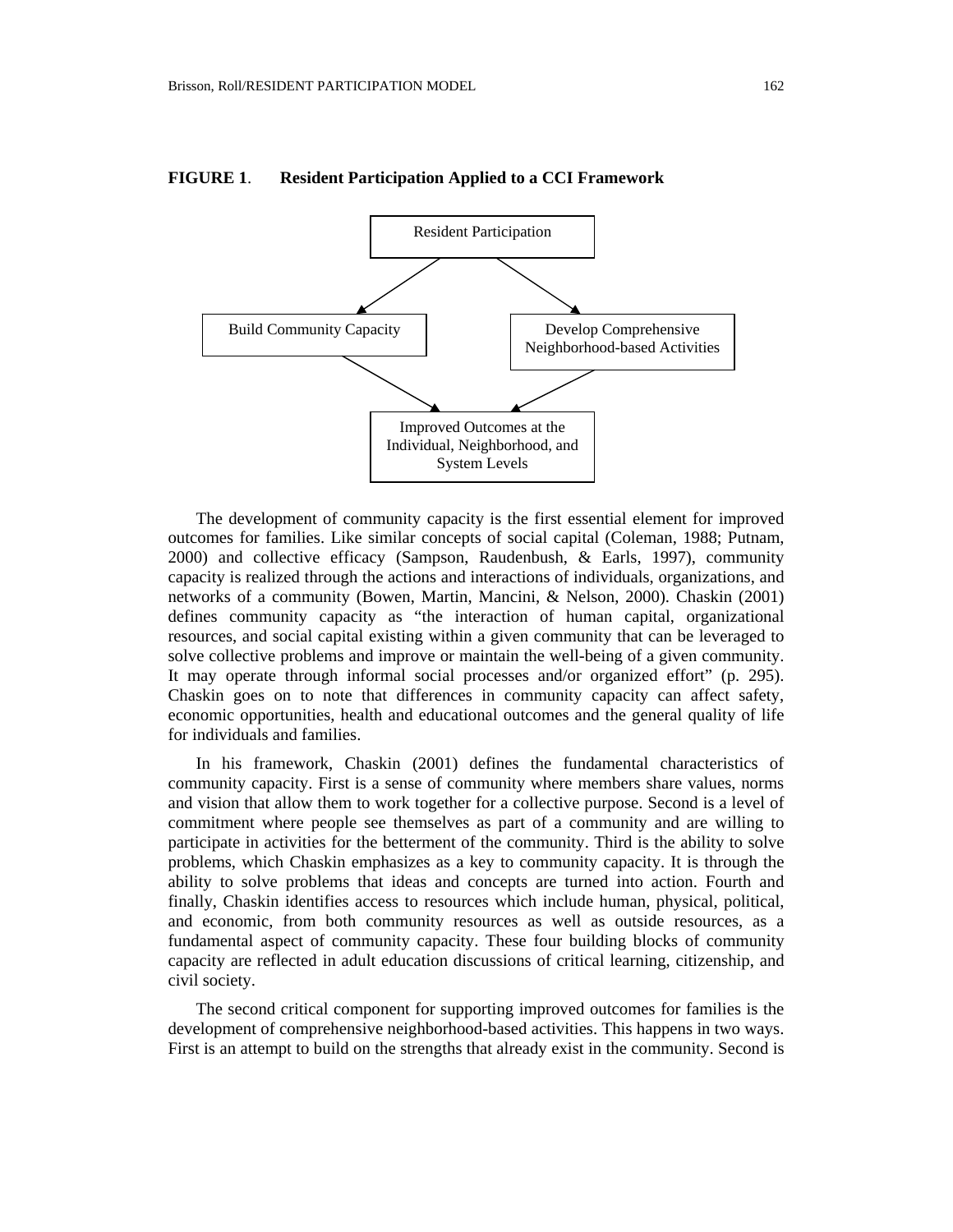

#### **FIGURE 1**. **Resident Participation Applied to a CCI Framework**

The development of community capacity is the first essential element for improved outcomes for families. Like similar concepts of social capital (Coleman, 1988; Putnam, 2000) and collective efficacy (Sampson, Raudenbush, & Earls, 1997), community capacity is realized through the actions and interactions of individuals, organizations, and networks of a community (Bowen, Martin, Mancini, & Nelson, 2000). Chaskin (2001) defines community capacity as "the interaction of human capital, organizational resources, and social capital existing within a given community that can be leveraged to solve collective problems and improve or maintain the well-being of a given community. It may operate through informal social processes and/or organized effort" (p. 295). Chaskin goes on to note that differences in community capacity can affect safety, economic opportunities, health and educational outcomes and the general quality of life for individuals and families.

In his framework, Chaskin (2001) defines the fundamental characteristics of community capacity. First is a sense of community where members share values, norms and vision that allow them to work together for a collective purpose. Second is a level of commitment where people see themselves as part of a community and are willing to participate in activities for the betterment of the community. Third is the ability to solve problems, which Chaskin emphasizes as a key to community capacity. It is through the ability to solve problems that ideas and concepts are turned into action. Fourth and finally, Chaskin identifies access to resources which include human, physical, political, and economic, from both community resources as well as outside resources, as a fundamental aspect of community capacity. These four building blocks of community capacity are reflected in adult education discussions of critical learning, citizenship, and civil society.

The second critical component for supporting improved outcomes for families is the development of comprehensive neighborhood-based activities. This happens in two ways. First is an attempt to build on the strengths that already exist in the community. Second is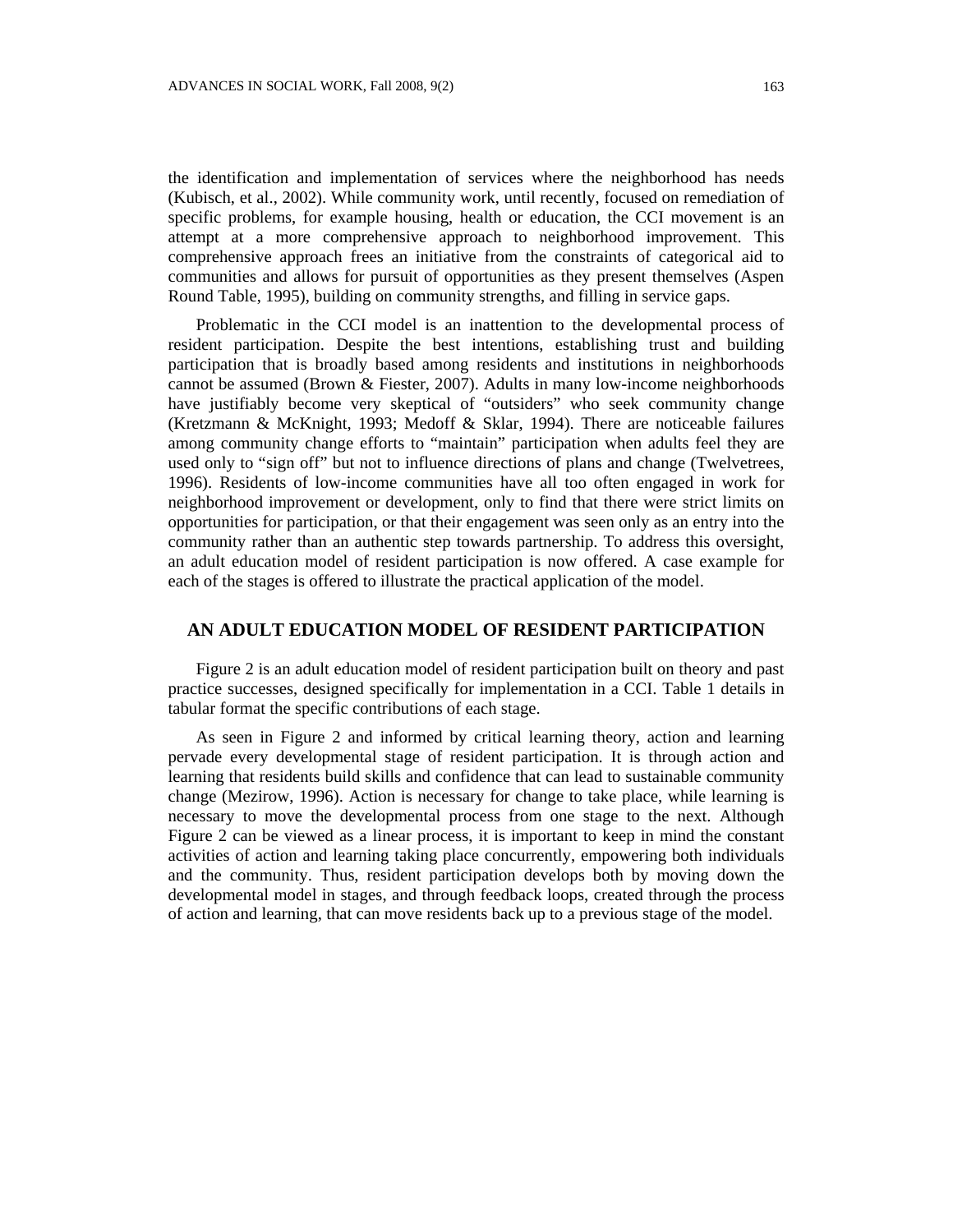the identification and implementation of services where the neighborhood has needs (Kubisch, et al., 2002). While community work, until recently, focused on remediation of specific problems, for example housing, health or education, the CCI movement is an attempt at a more comprehensive approach to neighborhood improvement. This comprehensive approach frees an initiative from the constraints of categorical aid to communities and allows for pursuit of opportunities as they present themselves (Aspen Round Table, 1995), building on community strengths, and filling in service gaps.

Problematic in the CCI model is an inattention to the developmental process of resident participation. Despite the best intentions, establishing trust and building participation that is broadly based among residents and institutions in neighborhoods cannot be assumed (Brown & Fiester, 2007). Adults in many low-income neighborhoods have justifiably become very skeptical of "outsiders" who seek community change (Kretzmann & McKnight, 1993; Medoff & Sklar, 1994). There are noticeable failures among community change efforts to "maintain" participation when adults feel they are used only to "sign off" but not to influence directions of plans and change (Twelvetrees, 1996). Residents of low-income communities have all too often engaged in work for neighborhood improvement or development, only to find that there were strict limits on opportunities for participation, or that their engagement was seen only as an entry into the community rather than an authentic step towards partnership. To address this oversight, an adult education model of resident participation is now offered. A case example for each of the stages is offered to illustrate the practical application of the model.

# **AN ADULT EDUCATION MODEL OF RESIDENT PARTICIPATION**

Figure 2 is an adult education model of resident participation built on theory and past practice successes, designed specifically for implementation in a CCI. Table 1 details in tabular format the specific contributions of each stage.

As seen in Figure 2 and informed by critical learning theory, action and learning pervade every developmental stage of resident participation. It is through action and learning that residents build skills and confidence that can lead to sustainable community change (Mezirow, 1996). Action is necessary for change to take place, while learning is necessary to move the developmental process from one stage to the next. Although Figure 2 can be viewed as a linear process, it is important to keep in mind the constant activities of action and learning taking place concurrently, empowering both individuals and the community. Thus, resident participation develops both by moving down the developmental model in stages, and through feedback loops, created through the process of action and learning, that can move residents back up to a previous stage of the model.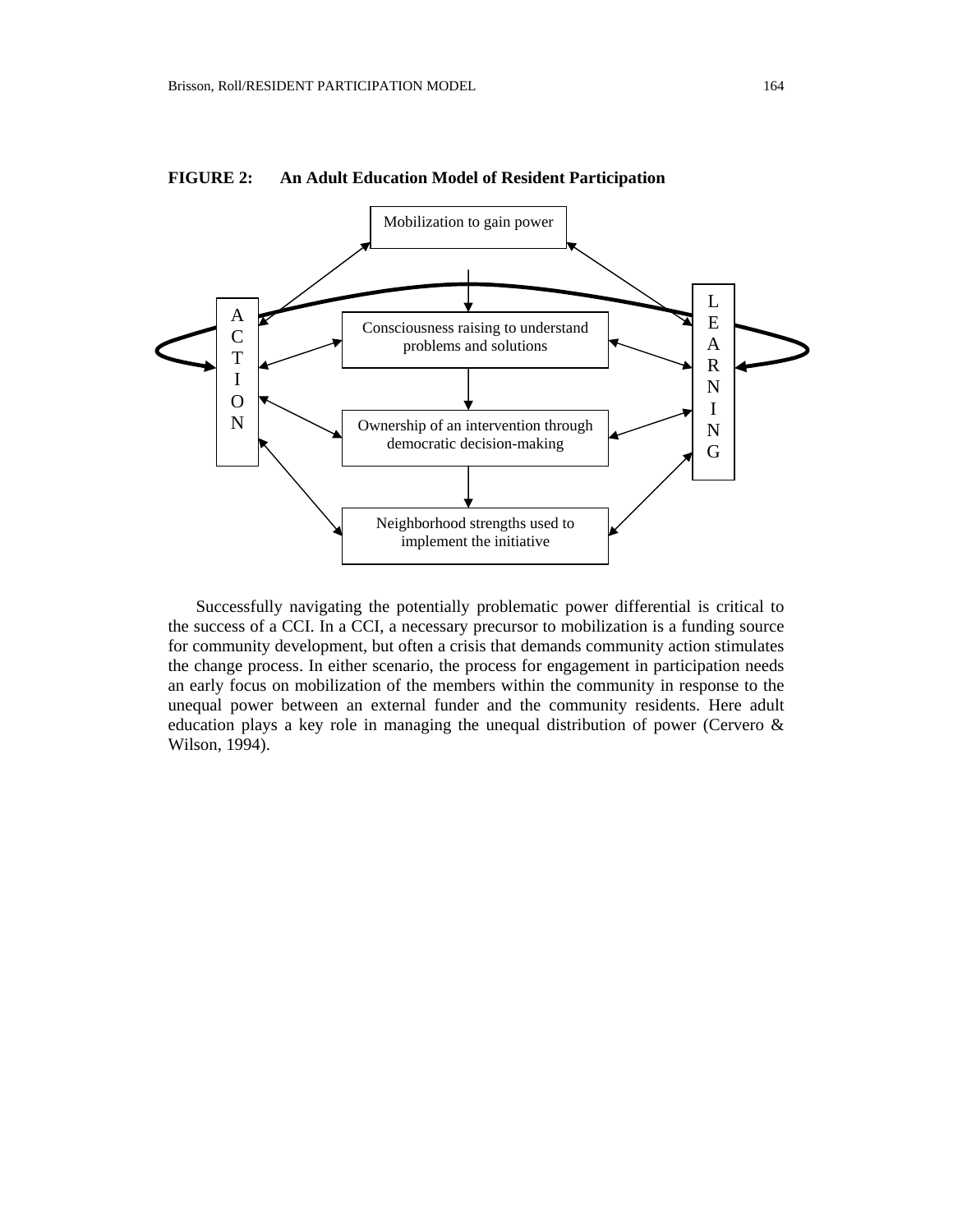

**FIGURE 2: An Adult Education Model of Resident Participation** 

Successfully navigating the potentially problematic power differential is critical to the success of a CCI. In a CCI, a necessary precursor to mobilization is a funding source for community development, but often a crisis that demands community action stimulates the change process. In either scenario, the process for engagement in participation needs an early focus on mobilization of the members within the community in response to the unequal power between an external funder and the community residents. Here adult education plays a key role in managing the unequal distribution of power (Cervero & Wilson, 1994).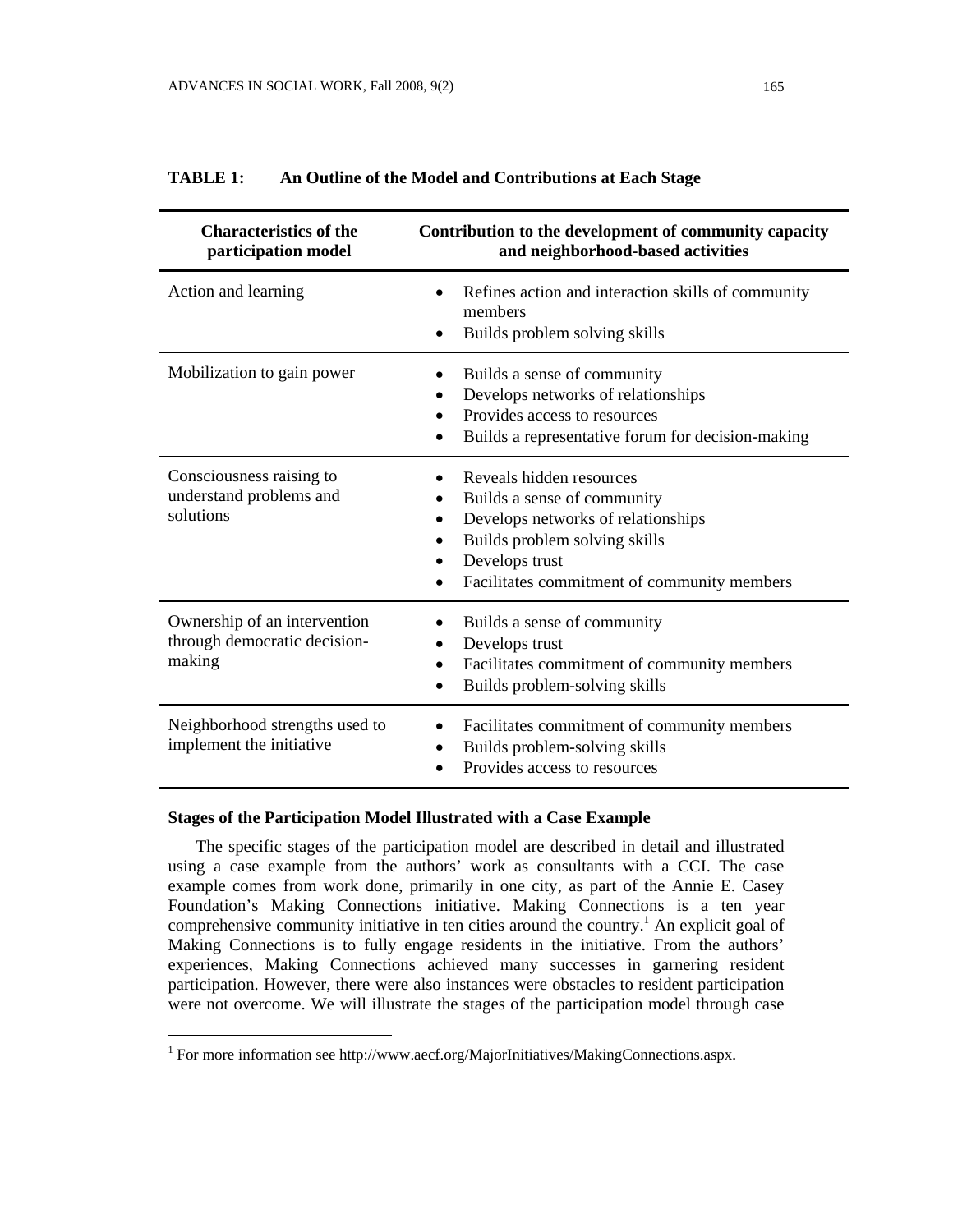| <b>Characteristics of the</b><br>participation model                   | Contribution to the development of community capacity<br>and neighborhood-based activities                                                                                                      |
|------------------------------------------------------------------------|-------------------------------------------------------------------------------------------------------------------------------------------------------------------------------------------------|
| Action and learning                                                    | Refines action and interaction skills of community<br>members<br>Builds problem solving skills                                                                                                  |
| Mobilization to gain power                                             | Builds a sense of community<br>Develops networks of relationships<br>Provides access to resources<br>Builds a representative forum for decision-making                                          |
| Consciousness raising to<br>understand problems and<br>solutions       | Reveals hidden resources<br>Builds a sense of community<br>Develops networks of relationships<br>Builds problem solving skills<br>Develops trust<br>Facilitates commitment of community members |
| Ownership of an intervention<br>through democratic decision-<br>making | Builds a sense of community<br>Develops trust<br>Facilitates commitment of community members<br>Builds problem-solving skills                                                                   |
| Neighborhood strengths used to<br>implement the initiative             | Facilitates commitment of community members<br>$\bullet$<br>Builds problem-solving skills<br>٠<br>Provides access to resources                                                                  |

# **TABLE 1: An Outline of the Model and Contributions at Each Stage**

# **Stages of the Participation Model Illustrated with a Case Example**

 $\overline{a}$ 

The specific stages of the participation model are described in detail and illustrated using a case example from the authors' work as consultants with a CCI. The case example comes from work done, primarily in one city, as part of the Annie E. Casey Foundation's Making Connections initiative. Making Connections is a ten year comprehensive community initiative in ten cities around the country.<sup>[1](#page-8-0)</sup> An explicit goal of Making Connections is to fully engage residents in the initiative. From the authors' experiences, Making Connections achieved many successes in garnering resident participation. However, there were also instances were obstacles to resident participation were not overcome. We will illustrate the stages of the participation model through case

<span id="page-8-0"></span><sup>&</sup>lt;sup>1</sup> For more information see [http://www.aecf.org/MajorInitiatives/MakingConnections.aspx.](http://www.aecf.org/MajorInitiatives/MakingConnections.aspx)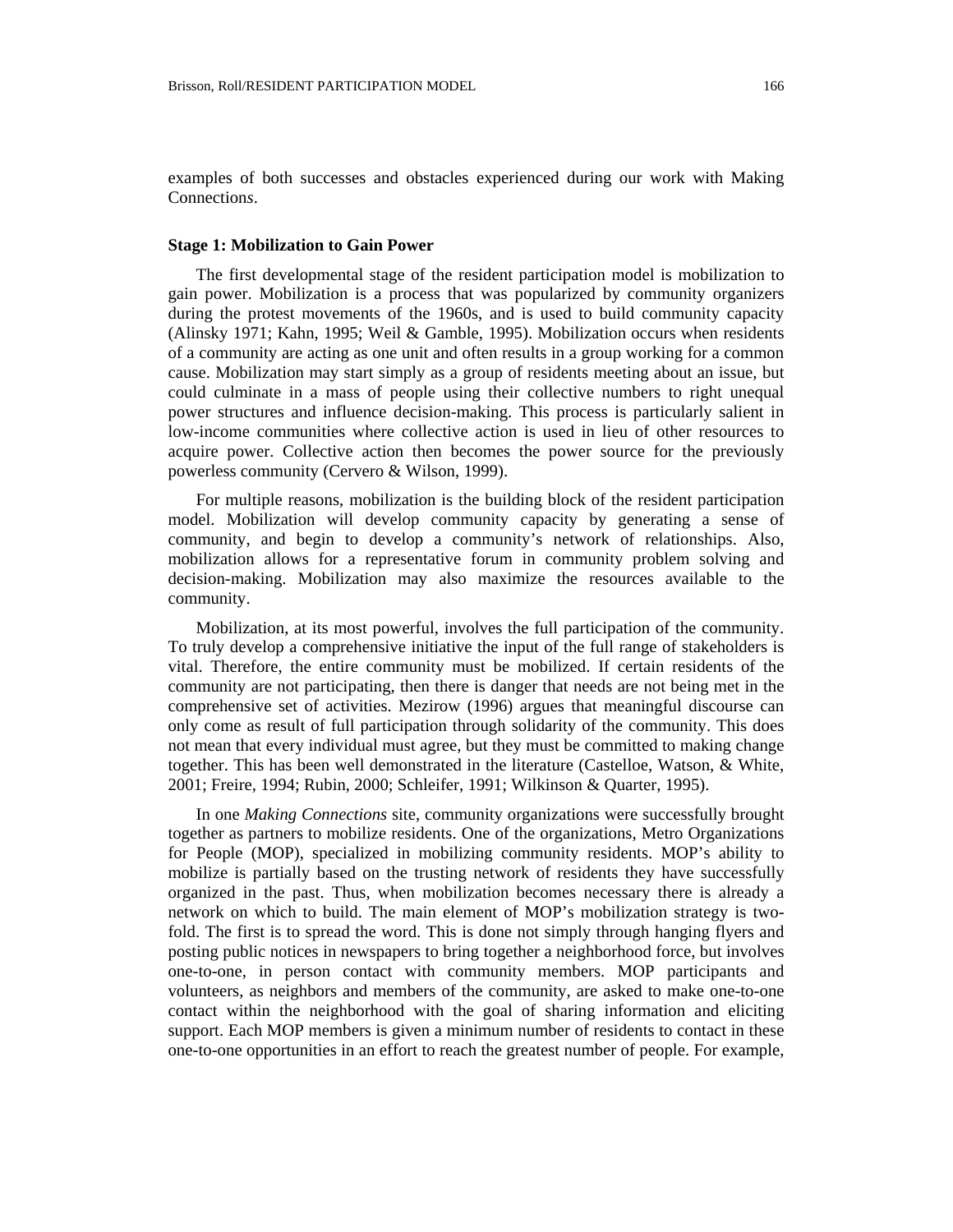examples of both successes and obstacles experienced during our work with Making Connection*s*.

#### **Stage 1: Mobilization to Gain Power**

The first developmental stage of the resident participation model is mobilization to gain power. Mobilization is a process that was popularized by community organizers during the protest movements of the 1960s, and is used to build community capacity (Alinsky 1971; Kahn, 1995; Weil & Gamble, 1995). Mobilization occurs when residents of a community are acting as one unit and often results in a group working for a common cause. Mobilization may start simply as a group of residents meeting about an issue, but could culminate in a mass of people using their collective numbers to right unequal power structures and influence decision-making. This process is particularly salient in low-income communities where collective action is used in lieu of other resources to acquire power. Collective action then becomes the power source for the previously powerless community (Cervero & Wilson, 1999).

For multiple reasons, mobilization is the building block of the resident participation model. Mobilization will develop community capacity by generating a sense of community, and begin to develop a community's network of relationships. Also, mobilization allows for a representative forum in community problem solving and decision-making. Mobilization may also maximize the resources available to the community.

Mobilization, at its most powerful, involves the full participation of the community. To truly develop a comprehensive initiative the input of the full range of stakeholders is vital. Therefore, the entire community must be mobilized. If certain residents of the community are not participating, then there is danger that needs are not being met in the comprehensive set of activities. Mezirow (1996) argues that meaningful discourse can only come as result of full participation through solidarity of the community. This does not mean that every individual must agree, but they must be committed to making change together. This has been well demonstrated in the literature (Castelloe, Watson, & White, 2001; Freire, 1994; Rubin, 2000; Schleifer, 1991; Wilkinson & Quarter, 1995).

In one *Making Connections* site, community organizations were successfully brought together as partners to mobilize residents. One of the organizations, Metro Organizations for People (MOP), specialized in mobilizing community residents. MOP's ability to mobilize is partially based on the trusting network of residents they have successfully organized in the past. Thus, when mobilization becomes necessary there is already a network on which to build. The main element of MOP's mobilization strategy is twofold. The first is to spread the word. This is done not simply through hanging flyers and posting public notices in newspapers to bring together a neighborhood force, but involves one-to-one, in person contact with community members. MOP participants and volunteers, as neighbors and members of the community, are asked to make one-to-one contact within the neighborhood with the goal of sharing information and eliciting support. Each MOP members is given a minimum number of residents to contact in these one-to-one opportunities in an effort to reach the greatest number of people. For example,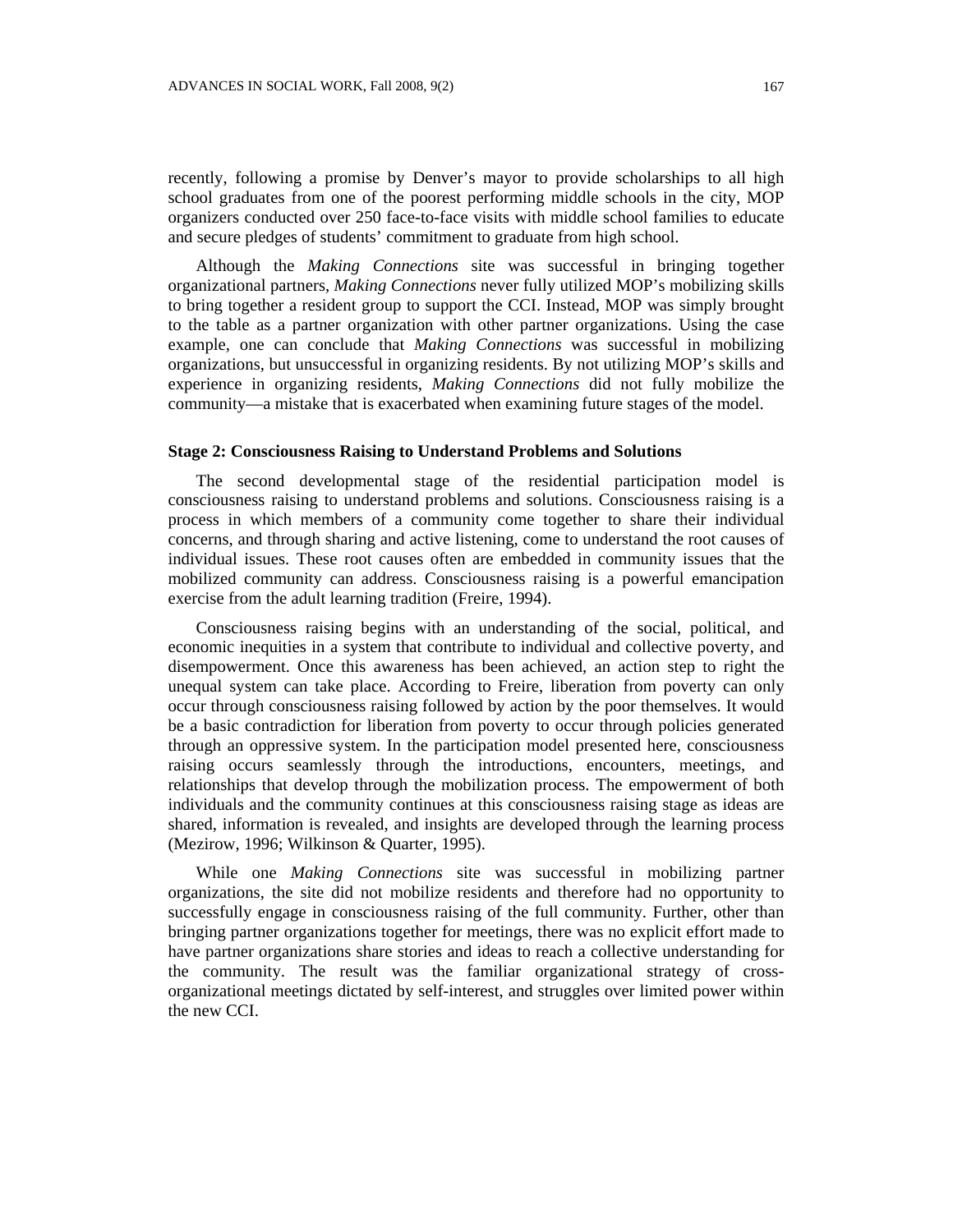recently, following a promise by Denver's mayor to provide scholarships to all high school graduates from one of the poorest performing middle schools in the city, MOP organizers conducted over 250 face-to-face visits with middle school families to educate and secure pledges of students' commitment to graduate from high school.

Although the *Making Connections* site was successful in bringing together organizational partners, *Making Connections* never fully utilized MOP's mobilizing skills to bring together a resident group to support the CCI. Instead, MOP was simply brought to the table as a partner organization with other partner organizations. Using the case example, one can conclude that *Making Connections* was successful in mobilizing organizations, but unsuccessful in organizing residents. By not utilizing MOP's skills and experience in organizing residents, *Making Connections* did not fully mobilize the community—a mistake that is exacerbated when examining future stages of the model.

### **Stage 2: Consciousness Raising to Understand Problems and Solutions**

The second developmental stage of the residential participation model is consciousness raising to understand problems and solutions. Consciousness raising is a process in which members of a community come together to share their individual concerns, and through sharing and active listening, come to understand the root causes of individual issues. These root causes often are embedded in community issues that the mobilized community can address. Consciousness raising is a powerful emancipation exercise from the adult learning tradition (Freire, 1994).

Consciousness raising begins with an understanding of the social, political, and economic inequities in a system that contribute to individual and collective poverty, and disempowerment. Once this awareness has been achieved, an action step to right the unequal system can take place. According to Freire, liberation from poverty can only occur through consciousness raising followed by action by the poor themselves. It would be a basic contradiction for liberation from poverty to occur through policies generated through an oppressive system. In the participation model presented here, consciousness raising occurs seamlessly through the introductions, encounters, meetings, and relationships that develop through the mobilization process. The empowerment of both individuals and the community continues at this consciousness raising stage as ideas are shared, information is revealed, and insights are developed through the learning process (Mezirow, 1996; Wilkinson & Quarter, 1995).

While one *Making Connections* site was successful in mobilizing partner organizations, the site did not mobilize residents and therefore had no opportunity to successfully engage in consciousness raising of the full community. Further, other than bringing partner organizations together for meetings, there was no explicit effort made to have partner organizations share stories and ideas to reach a collective understanding for the community. The result was the familiar organizational strategy of crossorganizational meetings dictated by self-interest, and struggles over limited power within the new CCI.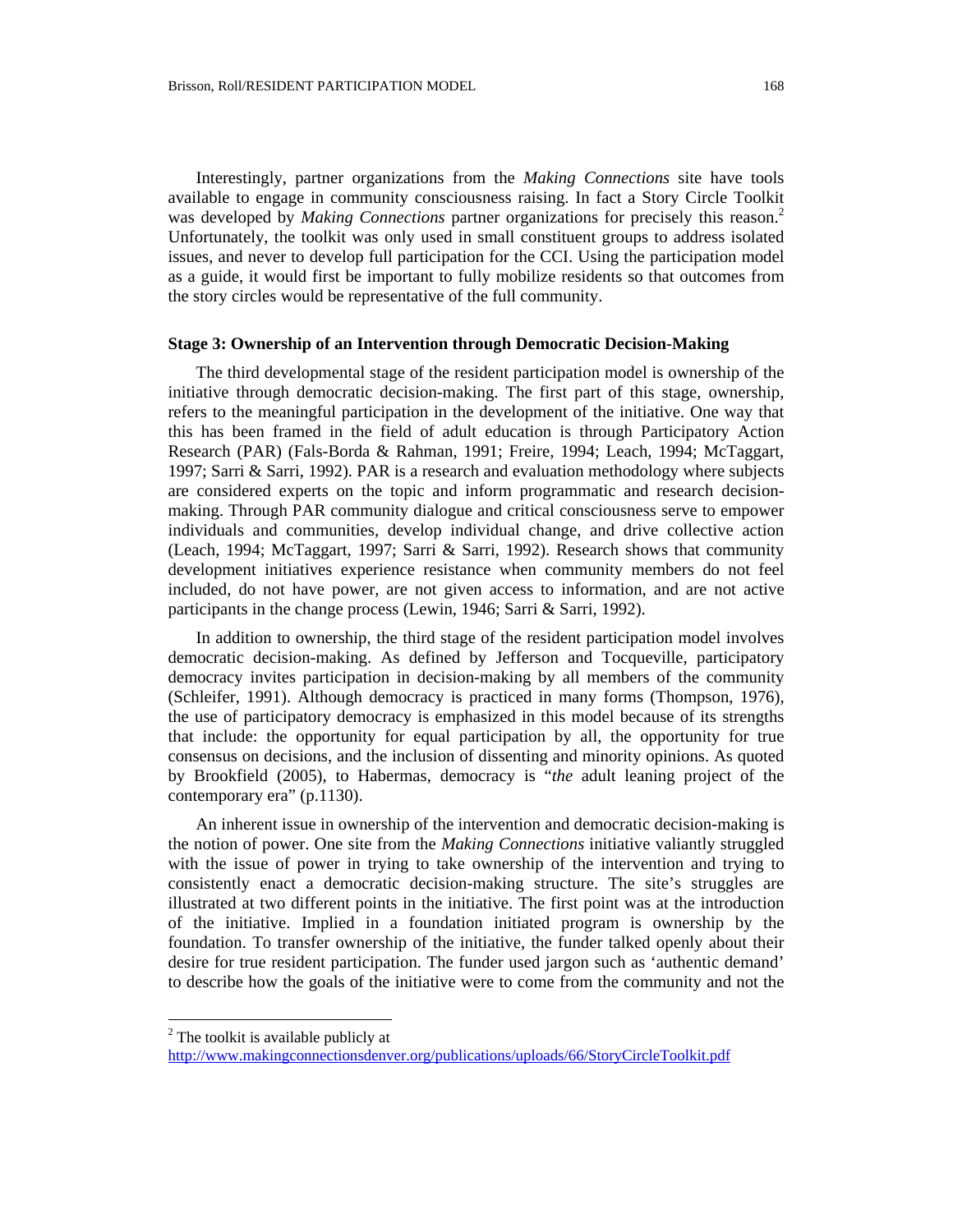Interestingly, partner organizations from the *Making Connections* site have tools available to engage in community consciousness raising. In fact a Story Circle Toolkit was developed by *Making Connections* partner organizations for precisely this reason.<sup>2</sup> Unfortunately, the toolkit was only used in small constituent groups to address isolated issues, and never to develop full participation for the CCI. Using the participation model as a guide, it would first be important to fully mobilize residents so that outcomes from the story circles would be representative of the full community.

#### **Stage 3: Ownership of an Intervention through Democratic Decision-Making**

The third developmental stage of the resident participation model is ownership of the initiative through democratic decision-making. The first part of this stage, ownership, refers to the meaningful participation in the development of the initiative. One way that this has been framed in the field of adult education is through Participatory Action Research (PAR) (Fals-Borda & Rahman, 1991; Freire, 1994; Leach, 1994; McTaggart, 1997; Sarri & Sarri, 1992). PAR is a research and evaluation methodology where subjects are considered experts on the topic and inform programmatic and research decisionmaking. Through PAR community dialogue and critical consciousness serve to empower individuals and communities, develop individual change, and drive collective action (Leach, 1994; McTaggart, 1997; Sarri & Sarri, 1992). Research shows that community development initiatives experience resistance when community members do not feel included, do not have power, are not given access to information, and are not active participants in the change process (Lewin, 1946; Sarri & Sarri, 1992).

In addition to ownership, the third stage of the resident participation model involves democratic decision-making. As defined by Jefferson and Tocqueville, participatory democracy invites participation in decision-making by all members of the community (Schleifer, 1991). Although democracy is practiced in many forms (Thompson, 1976), the use of participatory democracy is emphasized in this model because of its strengths that include: the opportunity for equal participation by all, the opportunity for true consensus on decisions, and the inclusion of dissenting and minority opinions. As quoted by Brookfield (2005), to Habermas, democracy is "*the* adult leaning project of the contemporary era" (p.1130).

An inherent issue in ownership of the intervention and democratic decision-making is the notion of power. One site from the *Making Connections* initiative valiantly struggled with the issue of power in trying to take ownership of the intervention and trying to consistently enact a democratic decision-making structure. The site's struggles are illustrated at two different points in the initiative. The first point was at the introduction of the initiative. Implied in a foundation initiated program is ownership by the foundation. To transfer ownership of the initiative, the funder talked openly about their desire for true resident participation. The funder used jargon such as 'authentic demand' to describe how the goals of the initiative were to come from the community and not the

 $\overline{a}$ 

<span id="page-11-0"></span><sup>&</sup>lt;sup>2</sup> The toolkit is available publicly at

<http://www.makingconnectionsdenver.org/publications/uploads/66/StoryCircleToolkit.pdf>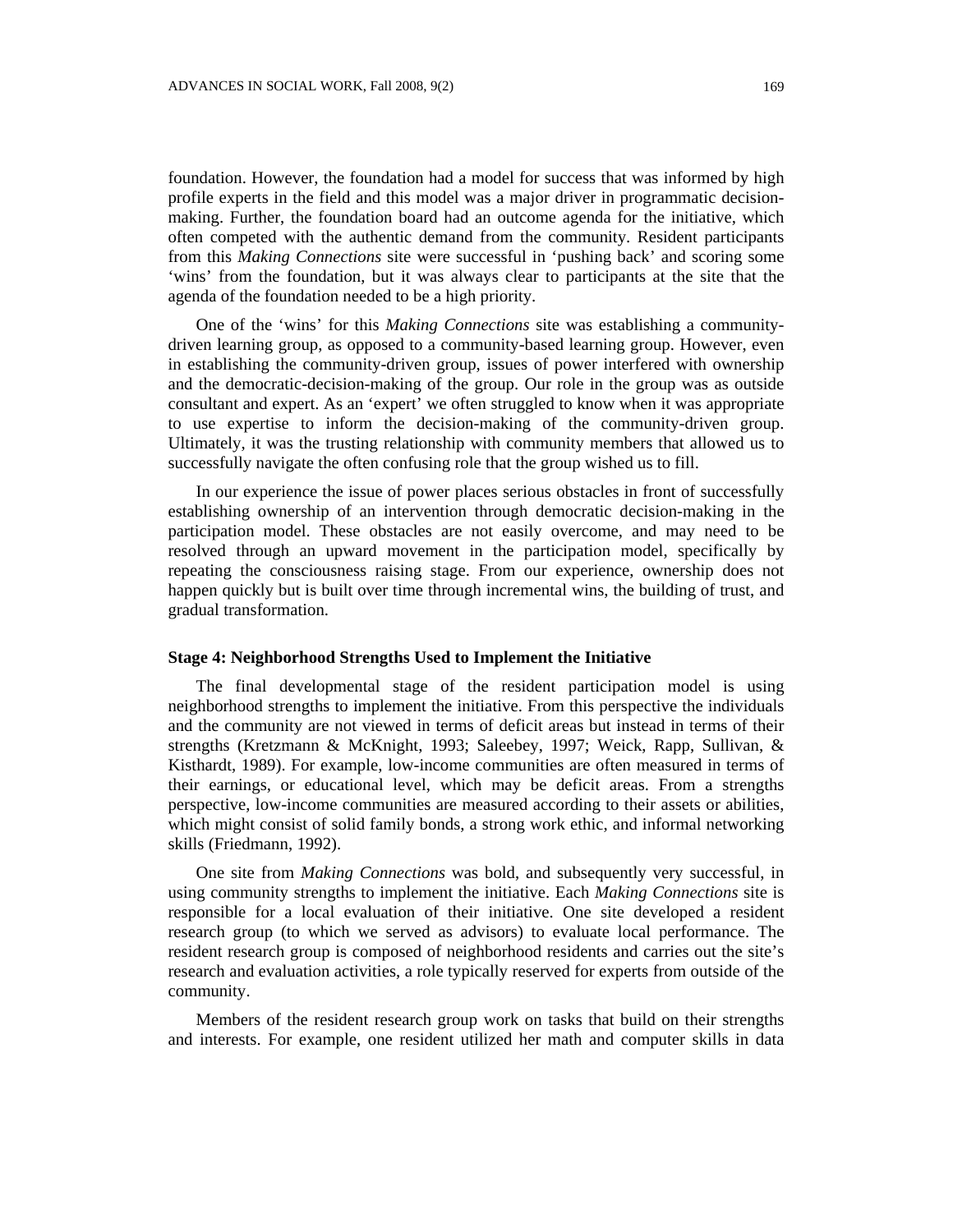foundation. However, the foundation had a model for success that was informed by high profile experts in the field and this model was a major driver in programmatic decisionmaking. Further, the foundation board had an outcome agenda for the initiative, which often competed with the authentic demand from the community. Resident participants from this *Making Connections* site were successful in 'pushing back' and scoring some 'wins' from the foundation, but it was always clear to participants at the site that the agenda of the foundation needed to be a high priority.

One of the 'wins' for this *Making Connections* site was establishing a communitydriven learning group, as opposed to a community-based learning group. However, even in establishing the community-driven group, issues of power interfered with ownership and the democratic-decision-making of the group. Our role in the group was as outside consultant and expert. As an 'expert' we often struggled to know when it was appropriate to use expertise to inform the decision-making of the community-driven group. Ultimately, it was the trusting relationship with community members that allowed us to successfully navigate the often confusing role that the group wished us to fill.

In our experience the issue of power places serious obstacles in front of successfully establishing ownership of an intervention through democratic decision-making in the participation model. These obstacles are not easily overcome, and may need to be resolved through an upward movement in the participation model, specifically by repeating the consciousness raising stage. From our experience, ownership does not happen quickly but is built over time through incremental wins, the building of trust, and gradual transformation.

### **Stage 4: Neighborhood Strengths Used to Implement the Initiative**

The final developmental stage of the resident participation model is using neighborhood strengths to implement the initiative. From this perspective the individuals and the community are not viewed in terms of deficit areas but instead in terms of their strengths (Kretzmann & McKnight, 1993; Saleebey, 1997; Weick, Rapp, Sullivan, & Kisthardt, 1989). For example, low-income communities are often measured in terms of their earnings, or educational level, which may be deficit areas. From a strengths perspective, low-income communities are measured according to their assets or abilities, which might consist of solid family bonds, a strong work ethic, and informal networking skills (Friedmann, 1992).

One site from *Making Connections* was bold, and subsequently very successful, in using community strengths to implement the initiative. Each *Making Connections* site is responsible for a local evaluation of their initiative. One site developed a resident research group (to which we served as advisors) to evaluate local performance. The resident research group is composed of neighborhood residents and carries out the site's research and evaluation activities, a role typically reserved for experts from outside of the community.

Members of the resident research group work on tasks that build on their strengths and interests. For example, one resident utilized her math and computer skills in data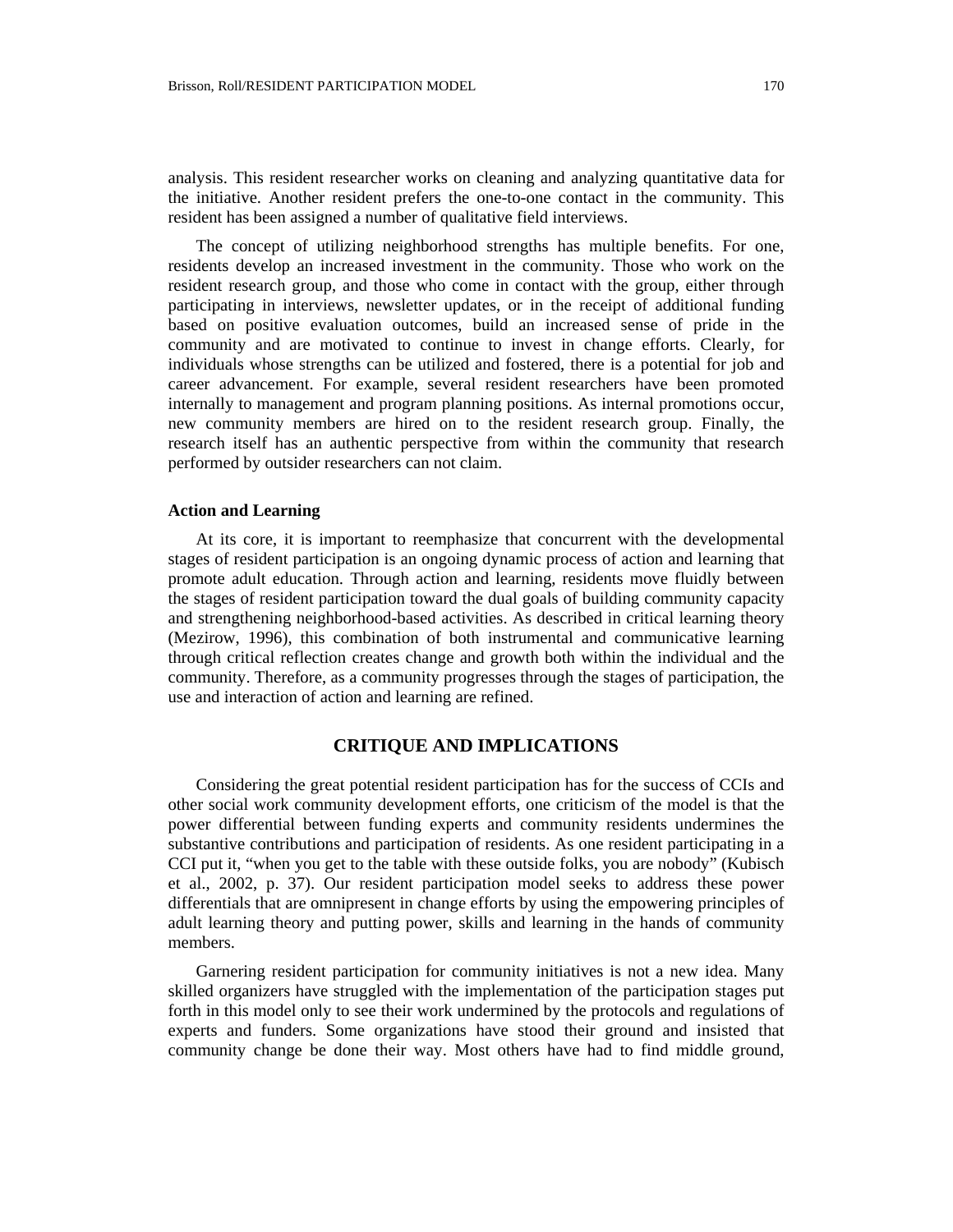analysis. This resident researcher works on cleaning and analyzing quantitative data for the initiative. Another resident prefers the one-to-one contact in the community. This resident has been assigned a number of qualitative field interviews.

The concept of utilizing neighborhood strengths has multiple benefits. For one, residents develop an increased investment in the community. Those who work on the resident research group, and those who come in contact with the group, either through participating in interviews, newsletter updates, or in the receipt of additional funding based on positive evaluation outcomes, build an increased sense of pride in the community and are motivated to continue to invest in change efforts. Clearly, for individuals whose strengths can be utilized and fostered, there is a potential for job and career advancement. For example, several resident researchers have been promoted internally to management and program planning positions. As internal promotions occur, new community members are hired on to the resident research group. Finally, the research itself has an authentic perspective from within the community that research performed by outsider researchers can not claim.

### **Action and Learning**

At its core, it is important to reemphasize that concurrent with the developmental stages of resident participation is an ongoing dynamic process of action and learning that promote adult education. Through action and learning, residents move fluidly between the stages of resident participation toward the dual goals of building community capacity and strengthening neighborhood-based activities. As described in critical learning theory (Mezirow, 1996), this combination of both instrumental and communicative learning through critical reflection creates change and growth both within the individual and the community. Therefore, as a community progresses through the stages of participation, the use and interaction of action and learning are refined.

# **CRITIQUE AND IMPLICATIONS**

Considering the great potential resident participation has for the success of CCIs and other social work community development efforts, one criticism of the model is that the power differential between funding experts and community residents undermines the substantive contributions and participation of residents. As one resident participating in a CCI put it, "when you get to the table with these outside folks, you are nobody" (Kubisch et al., 2002, p. 37). Our resident participation model seeks to address these power differentials that are omnipresent in change efforts by using the empowering principles of adult learning theory and putting power, skills and learning in the hands of community members.

Garnering resident participation for community initiatives is not a new idea. Many skilled organizers have struggled with the implementation of the participation stages put forth in this model only to see their work undermined by the protocols and regulations of experts and funders. Some organizations have stood their ground and insisted that community change be done their way. Most others have had to find middle ground,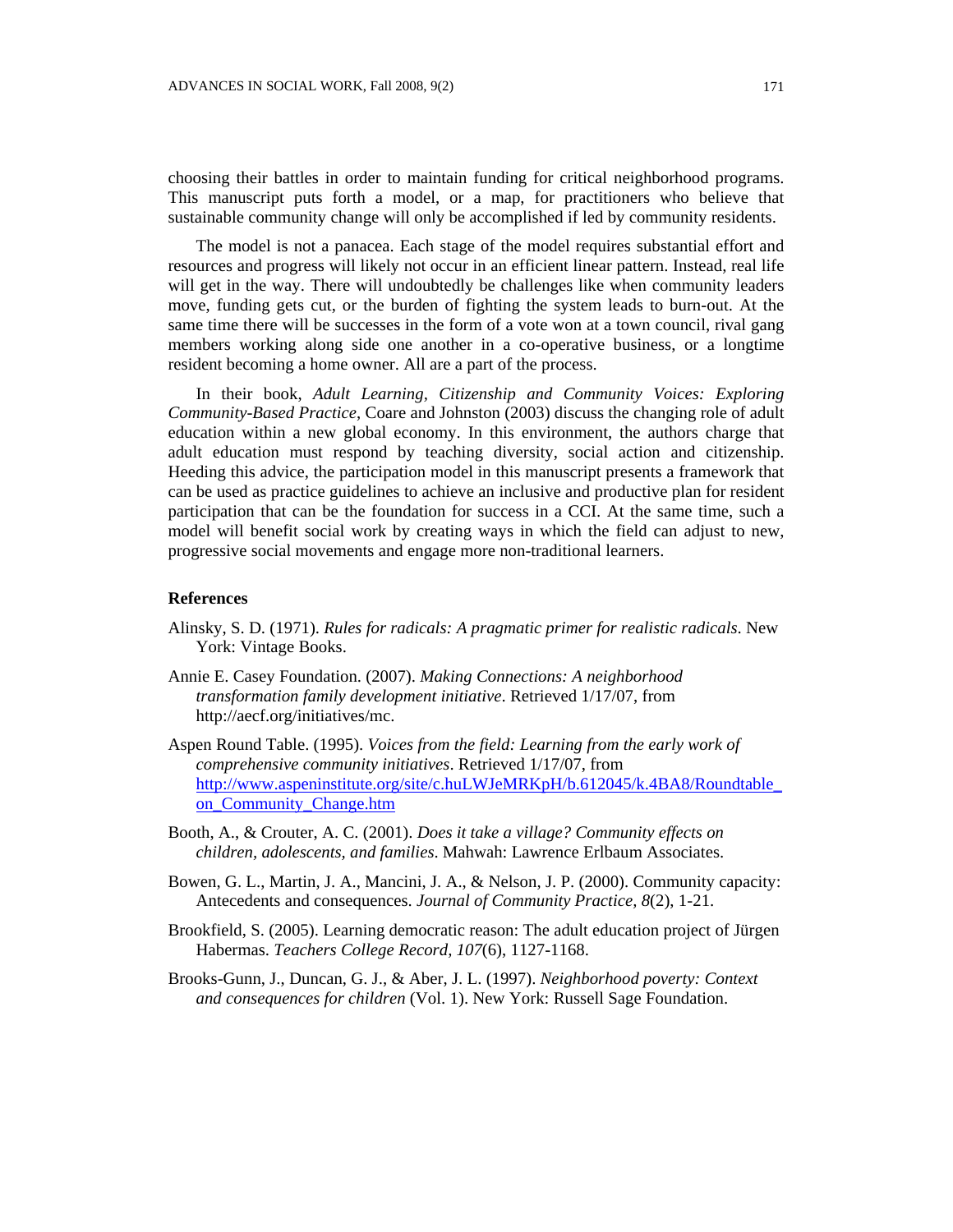choosing their battles in order to maintain funding for critical neighborhood programs. This manuscript puts forth a model, or a map, for practitioners who believe that sustainable community change will only be accomplished if led by community residents.

The model is not a panacea. Each stage of the model requires substantial effort and resources and progress will likely not occur in an efficient linear pattern. Instead, real life will get in the way. There will undoubtedly be challenges like when community leaders move, funding gets cut, or the burden of fighting the system leads to burn-out. At the same time there will be successes in the form of a vote won at a town council, rival gang members working along side one another in a co-operative business, or a longtime resident becoming a home owner. All are a part of the process.

In their book, *Adult Learning, Citizenship and Community Voices: Exploring Community-Based Practice*, Coare and Johnston (2003) discuss the changing role of adult education within a new global economy. In this environment, the authors charge that adult education must respond by teaching diversity, social action and citizenship. Heeding this advice, the participation model in this manuscript presents a framework that can be used as practice guidelines to achieve an inclusive and productive plan for resident participation that can be the foundation for success in a CCI. At the same time, such a model will benefit social work by creating ways in which the field can adjust to new, progressive social movements and engage more non-traditional learners.

### **References**

- Alinsky, S. D. (1971). *Rules for radicals: A pragmatic primer for realistic radicals*. New York: Vintage Books.
- Annie E. Casey Foundation. (2007). *Making Connections: A neighborhood transformation family development initiative*. Retrieved 1/17/07, from http://aecf.org/initiatives/mc.
- Aspen Round Table. (1995). *Voices from the field: Learning from the early work of comprehensive community initiatives*. Retrieved 1/17/07, from [http://www.aspeninstitute.org/site/c.huLWJeMRKpH/b.612045/k.4BA8/Roundtable\\_](http://www.aspeninstitute.org/site/c.huLWJeMRKpH/b.612045/k.4BA8/Roundtable_on_Community_Change.htm) [on\\_Community\\_Change.htm](http://www.aspeninstitute.org/site/c.huLWJeMRKpH/b.612045/k.4BA8/Roundtable_on_Community_Change.htm)
- Booth, A., & Crouter, A. C. (2001). *Does it take a village? Community effects on children, adolescents, and families*. Mahwah: Lawrence Erlbaum Associates.
- Bowen, G. L., Martin, J. A., Mancini, J. A., & Nelson, J. P. (2000). Community capacity: Antecedents and consequences. *Journal of Community Practice, 8*(2), 1-21.
- Brookfield, S. (2005). Learning democratic reason: The adult education project of Jürgen Habermas. *Teachers College Record, 107*(6), 1127-1168.
- Brooks-Gunn, J., Duncan, G. J., & Aber, J. L. (1997). *Neighborhood poverty: Context and consequences for children* (Vol. 1). New York: Russell Sage Foundation.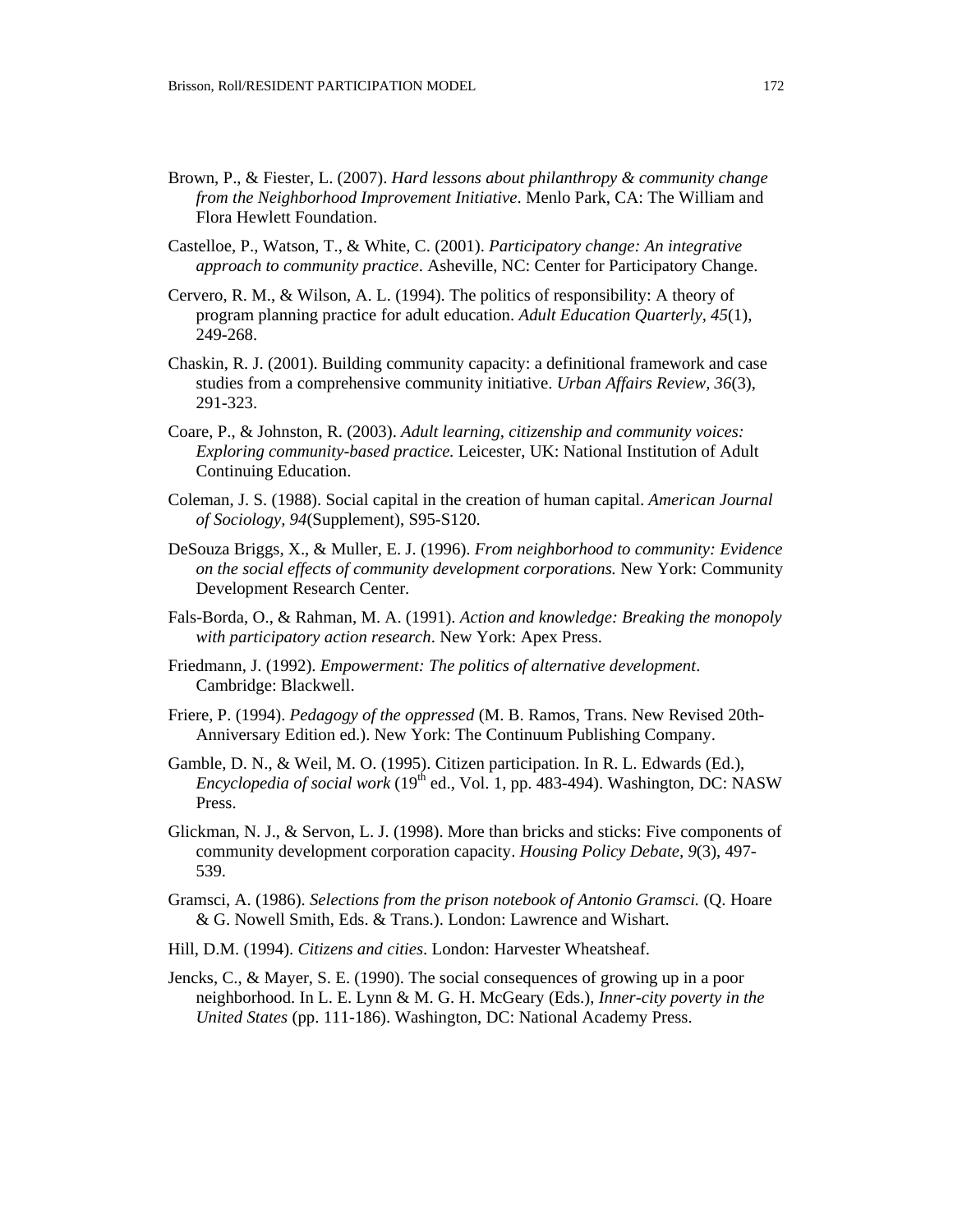- Brown, P., & Fiester, L. (2007). *Hard lessons about philanthropy & community change from the Neighborhood Improvement Initiative*. Menlo Park, CA: The William and Flora Hewlett Foundation.
- Castelloe, P., Watson, T., & White, C. (2001). *Participatory change: An integrative approach to community practice*. Asheville, NC: Center for Participatory Change.
- Cervero, R. M., & Wilson, A. L. (1994). The politics of responsibility: A theory of program planning practice for adult education. *Adult Education Quarterly, 45*(1), 249-268.
- Chaskin, R. J. (2001). Building community capacity: a definitional framework and case studies from a comprehensive community initiative. *Urban Affairs Review, 36*(3), 291-323.
- Coare, P., & Johnston, R. (2003). *Adult learning, citizenship and community voices: Exploring community-based practice.* Leicester, UK: National Institution of Adult Continuing Education.
- Coleman, J. S. (1988). Social capital in the creation of human capital. *American Journal of Sociology, 94*(Supplement), S95-S120.
- DeSouza Briggs, X., & Muller, E. J. (1996). *From neighborhood to community: Evidence on the social effects of community development corporations.* New York: Community Development Research Center.
- Fals-Borda, O., & Rahman, M. A. (1991). *Action and knowledge: Breaking the monopoly with participatory action research*. New York: Apex Press.
- Friedmann, J. (1992). *Empowerment: The politics of alternative development*. Cambridge: Blackwell.
- Friere, P. (1994). *Pedagogy of the oppressed* (M. B. Ramos, Trans. New Revised 20th-Anniversary Edition ed.). New York: The Continuum Publishing Company.
- Gamble, D. N., & Weil, M. O. (1995). Citizen participation. In R. L. Edwards (Ed.), *Encyclopedia of social work* (19<sup>th</sup> ed., Vol. 1, pp. 483-494). Washington, DC: NASW Press.
- Glickman, N. J., & Servon, L. J. (1998). More than bricks and sticks: Five components of community development corporation capacity. *Housing Policy Debate, 9*(3), 497- 539.
- Gramsci, A. (1986). *Selections from the prison notebook of Antonio Gramsci.* (Q. Hoare & G. Nowell Smith, Eds. & Trans.). London: Lawrence and Wishart.
- Hill, D.M. (1994). *Citizens and cities*. London: Harvester Wheatsheaf.
- Jencks, C., & Mayer, S. E. (1990). The social consequences of growing up in a poor neighborhood. In L. E. Lynn & M. G. H. McGeary (Eds.), *Inner-city poverty in the United States* (pp. 111-186). Washington, DC: National Academy Press.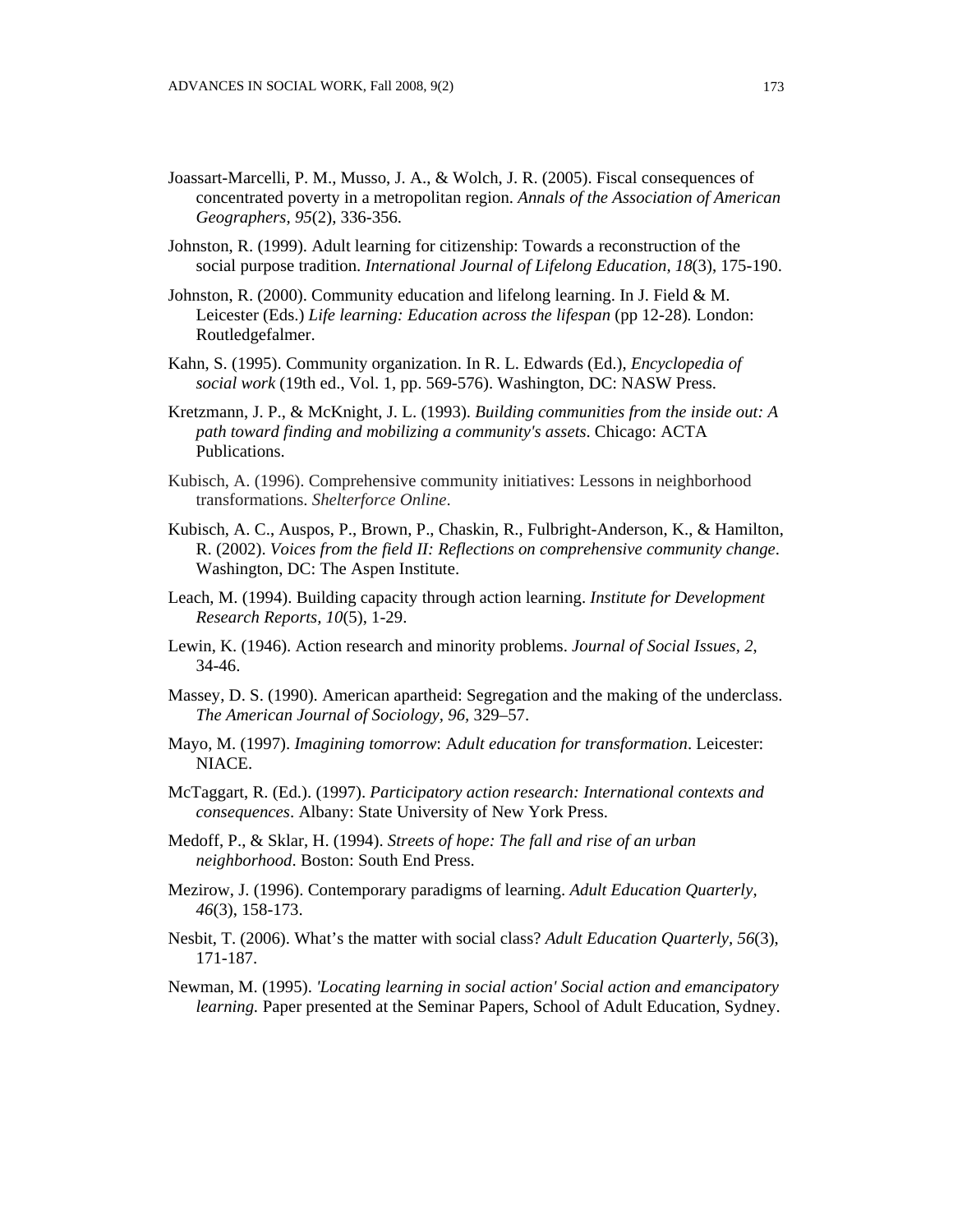- Joassart-Marcelli, P. M., Musso, J. A., & Wolch, J. R. (2005). Fiscal consequences of concentrated poverty in a metropolitan region. *Annals of the Association of American Geographers, 95*(2), 336-356.
- Johnston, R. (1999). Adult learning for citizenship: Towards a reconstruction of the social purpose tradition. *International Journal of Lifelong Education, 18*(3), 175-190.
- Johnston, R. (2000). Community education and lifelong learning. In J. Field & M. Leicester (Eds.) *Life learning: Education across the lifespan* (pp 12-28). London: Routledgefalmer.
- Kahn, S. (1995). Community organization. In R. L. Edwards (Ed.), *Encyclopedia of social work* (19th ed., Vol. 1, pp. 569-576). Washington, DC: NASW Press.
- Kretzmann, J. P., & McKnight, J. L. (1993). *Building communities from the inside out: A path toward finding and mobilizing a community's assets*. Chicago: ACTA Publications.
- Kubisch, A. (1996). Comprehensive community initiatives: Lessons in neighborhood transformations. *Shelterforce Online*.
- Kubisch, A. C., Auspos, P., Brown, P., Chaskin, R., Fulbright-Anderson, K., & Hamilton, R. (2002). *Voices from the field II: Reflections on comprehensive community change*. Washington, DC: The Aspen Institute.
- Leach, M. (1994). Building capacity through action learning. *Institute for Development Research Reports, 10*(5), 1-29.
- Lewin, K. (1946). Action research and minority problems. *Journal of Social Issues, 2*, 34-46.
- Massey, D. S. (1990). American apartheid: Segregation and the making of the underclass. *The American Journal of Sociology, 96,* 329–57.
- Mayo, M. (1997). *Imagining tomorrow*: A*dult education for transformation*. Leicester: NIACE.
- McTaggart, R. (Ed.). (1997). *Participatory action research: International contexts and consequences*. Albany: State University of New York Press.
- Medoff, P., & Sklar, H. (1994). *Streets of hope: The fall and rise of an urban neighborhood*. Boston: South End Press.
- Mezirow, J. (1996). Contemporary paradigms of learning. *Adult Education Quarterly, 46*(3), 158-173.
- Nesbit, T. (2006). What's the matter with social class? *Adult Education Quarterly, 56*(3), 171-187.
- Newman, M. (1995). *'Locating learning in social action' Social action and emancipatory learning.* Paper presented at the Seminar Papers, School of Adult Education, Sydney.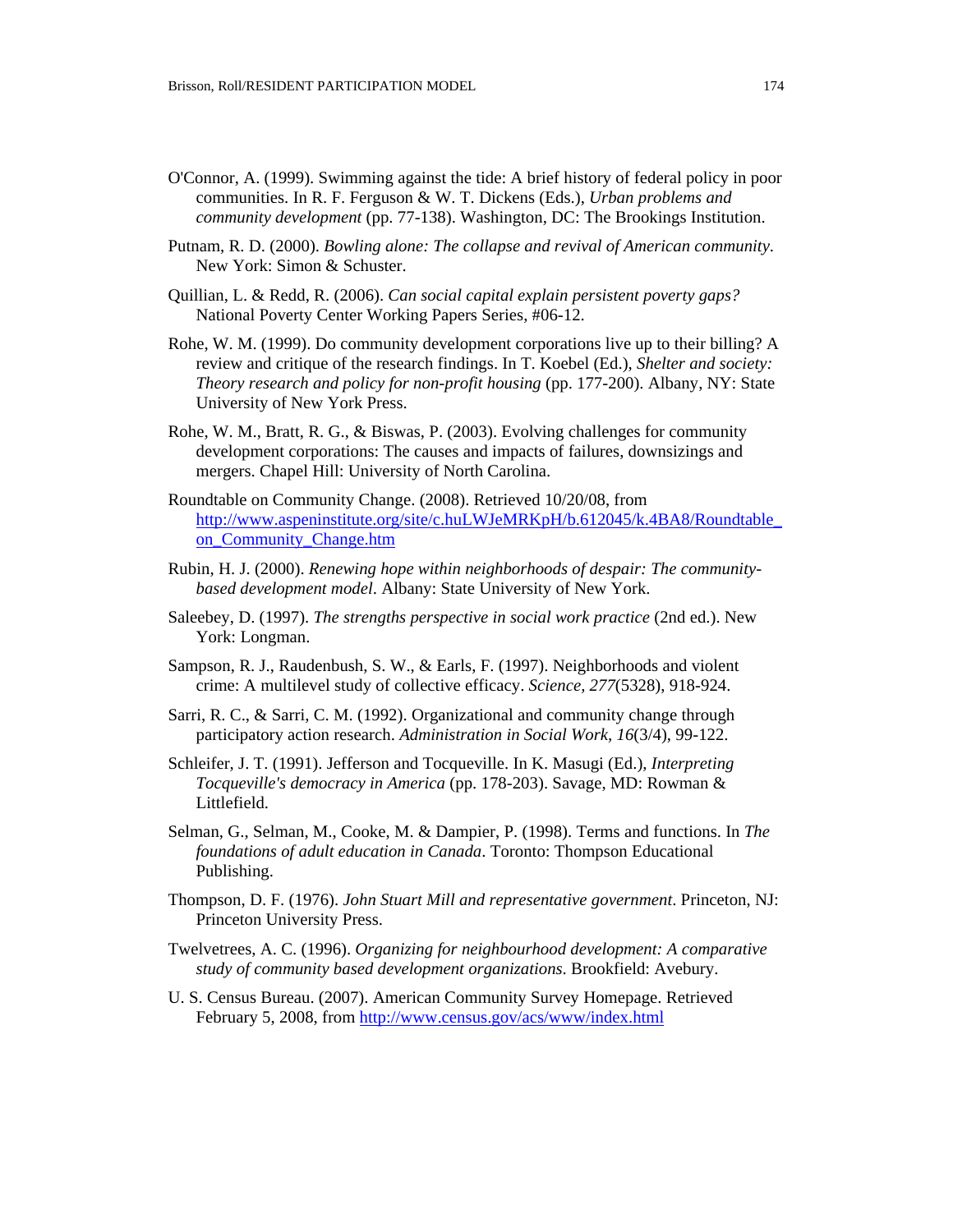- O'Connor, A. (1999). Swimming against the tide: A brief history of federal policy in poor communities. In R. F. Ferguson & W. T. Dickens (Eds.), *Urban problems and community development* (pp. 77-138). Washington, DC: The Brookings Institution.
- Putnam, R. D. (2000). *Bowling alone: The collapse and revival of American community*. New York: Simon & Schuster.
- Quillian, L. & Redd, R. (2006). *Can social capital explain persistent poverty gaps?* National Poverty Center Working Papers Series, #06-12.
- Rohe, W. M. (1999). Do community development corporations live up to their billing? A review and critique of the research findings. In T. Koebel (Ed.), *Shelter and society: Theory research and policy for non-profit housing* (pp. 177-200). Albany, NY: State University of New York Press.
- Rohe, W. M., Bratt, R. G., & Biswas, P. (2003). Evolving challenges for community development corporations: The causes and impacts of failures, downsizings and mergers. Chapel Hill: University of North Carolina.
- Roundtable on Community Change. (2008). Retrieved 10/20/08, from [http://www.aspeninstitute.org/site/c.huLWJeMRKpH/b.612045/k.4BA8/Roundtable\\_](http://www.aspeninstitute.org/site/c.huLWJeMRKpH/b.612045/k.4BA8/Roundtable_on_Community_Change.htm) [on\\_Community\\_Change.htm](http://www.aspeninstitute.org/site/c.huLWJeMRKpH/b.612045/k.4BA8/Roundtable_on_Community_Change.htm)
- Rubin, H. J. (2000). *Renewing hope within neighborhoods of despair: The communitybased development model*. Albany: State University of New York.
- Saleebey, D. (1997). *The strengths perspective in social work practice* (2nd ed.). New York: Longman.
- Sampson, R. J., Raudenbush, S. W., & Earls, F. (1997). Neighborhoods and violent crime: A multilevel study of collective efficacy. *Science, 277*(5328), 918-924.
- Sarri, R. C., & Sarri, C. M. (1992). Organizational and community change through participatory action research. *Administration in Social Work, 16*(3/4), 99-122.
- Schleifer, J. T. (1991). Jefferson and Tocqueville. In K. Masugi (Ed.), *Interpreting Tocqueville's democracy in America* (pp. 178-203). Savage, MD: Rowman & Littlefield.
- Selman, G., Selman, M., Cooke, M. & Dampier, P. (1998). Terms and functions. In *The foundations of adult education in Canada*. Toronto: Thompson Educational Publishing.
- Thompson, D. F. (1976). *John Stuart Mill and representative government*. Princeton, NJ: Princeton University Press.
- Twelvetrees, A. C. (1996). *Organizing for neighbourhood development: A comparative study of community based development organizations*. Brookfield: Avebury.
- U. S. Census Bureau. (2007). American Community Survey Homepage. Retrieved February 5, 2008, from<http://www.census.gov/acs/www/index.html>